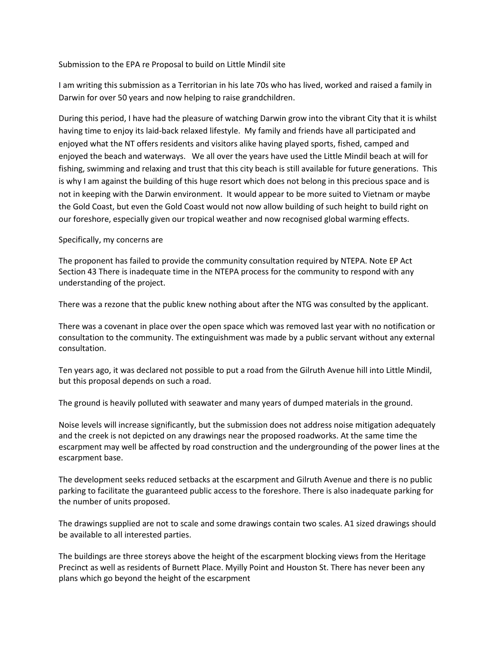Submission to the EPA re Proposal to build on Little Mindil site

I am writing this submission as a Territorian in his late 70s who has lived, worked and raised a family in Darwin for over 50 years and now helping to raise grandchildren.

During this period, I have had the pleasure of watching Darwin grow into the vibrant City that it is whilst having time to enjoy its laid-back relaxed lifestyle. My family and friends have all participated and enjoyed what the NT offers residents and visitors alike having played sports, fished, camped and enjoyed the beach and waterways. We all over the years have used the Little Mindil beach at will for fishing, swimming and relaxing and trust that this city beach is still available for future generations. This is why I am against the building of this huge resort which does not belong in this precious space and is not in keeping with the Darwin environment. It would appear to be more suited to Vietnam or maybe the Gold Coast, but even the Gold Coast would not now allow building of such height to build right on our foreshore, especially given our tropical weather and now recognised global warming effects.

## Specifically, my concerns are

The proponent has failed to provide the community consultation required by NTEPA. Note EP Act Section 43 There is inadequate time in the NTEPA process for the community to respond with any understanding of the project.

There was a rezone that the public knew nothing about after the NTG was consulted by the applicant.

There was a covenant in place over the open space which was removed last year with no notification or consultation to the community. The extinguishment was made by a public servant without any external consultation.

Ten years ago, it was declared not possible to put a road from the Gilruth Avenue hill into Little Mindil, but this proposal depends on such a road.

The ground is heavily polluted with seawater and many years of dumped materials in the ground.

Noise levels will increase significantly, but the submission does not address noise mitigation adequately and the creek is not depicted on any drawings near the proposed roadworks. At the same time the escarpment may well be affected by road construction and the undergrounding of the power lines at the escarpment base.

The development seeks reduced setbacks at the escarpment and Gilruth Avenue and there is no public parking to facilitate the guaranteed public access to the foreshore. There is also inadequate parking for the number of units proposed.

The drawings supplied are not to scale and some drawings contain two scales. A1 sized drawings should be available to all interested parties.

The buildings are three storeys above the height of the escarpment blocking views from the Heritage Precinct as well as residents of Burnett Place. Myilly Point and Houston St. There has never been any plans which go beyond the height of the escarpment